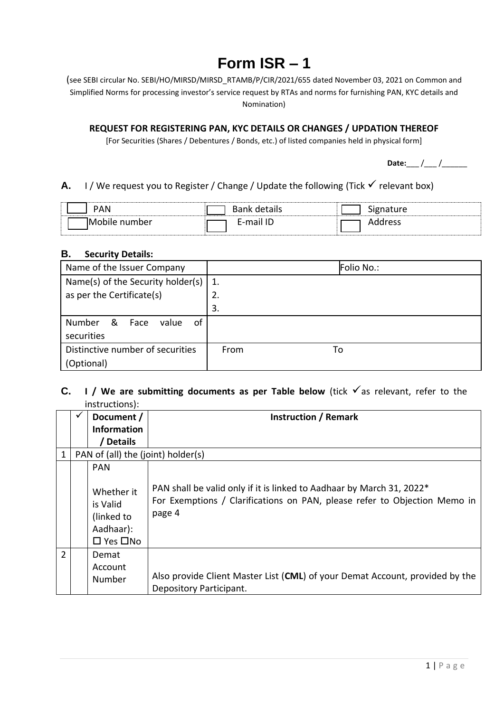# **Form ISR – 1**

(see SEBI circular No. SEBI/HO/MIRSD/MIRSD\_RTAMB/P/CIR/2021/655 dated November 03, 2021 on Common and Simplified Norms for processing investor's service request by RTAs and norms for furnishing PAN, KYC details and Nomination)

#### **REQUEST FOR REGISTERING PAN, KYC DETAILS OR CHANGES / UPDATION THEREOF**

[For Securities (Shares / Debentures / Bonds, etc.) of listed companies held in physical form]

Date: <u>/ / / \_</u>

### **A.** I/ We request you to Register / Change / Update the following (Tick  $\checkmark$  relevant box)

| 1.111111<br>,,,<br> | ----------------------------<br>ιαπο<br>◡ | - - |
|---------------------|-------------------------------------------|-----|
| number              | -<br>. .                                  | ີ   |

#### **B. Security Details:**

| Name of the Issuer Company          | Folio No.: |
|-------------------------------------|------------|
| Name(s) of the Security holder(s)   | 1.         |
| as per the Certificate(s)           | 2.         |
|                                     | 3.         |
| of<br>Number<br>_&<br>Face<br>value |            |
| securities                          |            |
| Distinctive number of securities    | From<br>To |
| (Optional)                          |            |

#### C. **I** / We are submitting documents as per Table below (tick √as relevant, refer to the instructions):

|                | Document /<br><b>Information</b><br>Details                                             | <b>Instruction / Remark</b>                                                                                                                                  |
|----------------|-----------------------------------------------------------------------------------------|--------------------------------------------------------------------------------------------------------------------------------------------------------------|
| $\mathbf{1}$   | PAN of (all) the (joint) holder(s)                                                      |                                                                                                                                                              |
|                | <b>PAN</b><br>Whether it<br>is Valid<br>(linked to<br>Aadhaar):<br>$\Box$ Yes $\Box$ No | PAN shall be valid only if it is linked to Aadhaar by March 31, 2022*<br>For Exemptions / Clarifications on PAN, please refer to Objection Memo in<br>page 4 |
| $\overline{2}$ | Demat<br>Account<br>Number                                                              | Also provide Client Master List (CML) of your Demat Account, provided by the<br>Depository Participant.                                                      |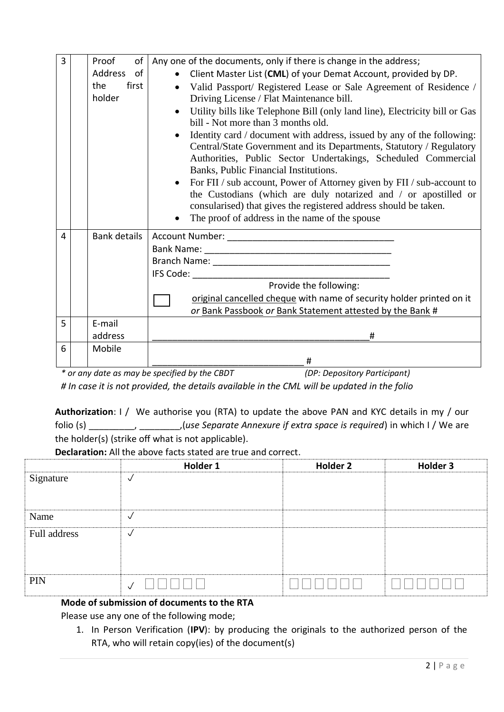| 3 | Proof<br>of          | Any one of the documents, only if there is change in the address;                                                 |  |
|---|----------------------|-------------------------------------------------------------------------------------------------------------------|--|
|   | <b>Address</b><br>of | Client Master List (CML) of your Demat Account, provided by DP.                                                   |  |
|   |                      |                                                                                                                   |  |
|   | the<br>first         | Valid Passport/ Registered Lease or Sale Agreement of Residence /                                                 |  |
|   | holder               | Driving License / Flat Maintenance bill.                                                                          |  |
|   |                      | Utility bills like Telephone Bill (only land line), Electricity bill or Gas<br>bill - Not more than 3 months old. |  |
|   |                      | Identity card / document with address, issued by any of the following:                                            |  |
|   |                      | Central/State Government and its Departments, Statutory / Regulatory                                              |  |
|   |                      | Authorities, Public Sector Undertakings, Scheduled Commercial                                                     |  |
|   |                      | Banks, Public Financial Institutions.                                                                             |  |
|   |                      | For FII / sub account, Power of Attorney given by FII / sub-account to                                            |  |
|   |                      | the Custodians (which are duly notarized and / or apostilled or                                                   |  |
|   |                      | consularised) that gives the registered address should be taken.                                                  |  |
|   |                      | The proof of address in the name of the spouse                                                                    |  |
|   |                      |                                                                                                                   |  |
| 4 | <b>Bank details</b>  |                                                                                                                   |  |
|   |                      |                                                                                                                   |  |
|   |                      |                                                                                                                   |  |
|   |                      | IFS Code: _________________                                                                                       |  |
|   |                      | Provide the following:                                                                                            |  |
|   |                      | original cancelled cheque with name of security holder printed on it                                              |  |
|   |                      | or Bank Passbook or Bank Statement attested by the Bank #                                                         |  |
| 5 | E-mail               |                                                                                                                   |  |
|   |                      |                                                                                                                   |  |
|   | address              | #                                                                                                                 |  |
| 6 | Mobile               |                                                                                                                   |  |
|   |                      | #                                                                                                                 |  |

*\* or any date as may be specified by the CBDT (DP: Depository Participant) # In case it is not provided, the details available in the CML will be updated in the folio*

**Authorization**: I / We authorise you (RTA) to update the above PAN and KYC details in my / our folio (s) \_\_\_\_\_\_\_\_\_, \_\_\_\_\_\_\_\_,(*use Separate Annexure if extra space is required*) in which I / We are the holder(s) (strike off what is not applicable).

**Declaration:** All the above facts stated are true and correct.

|              | Holder 1 | <b>Holder 2</b> | Holder 3 |
|--------------|----------|-----------------|----------|
| Signature    |          |                 |          |
|              |          |                 |          |
| Name         |          |                 |          |
| Full address |          |                 |          |
|              |          |                 |          |
|              |          |                 |          |
| PIN          |          |                 |          |

#### **Mode of submission of documents to the RTA**

Please use any one of the following mode;

1. In Person Verification (**IPV**): by producing the originals to the authorized person of the RTA, who will retain copy(ies) of the document(s)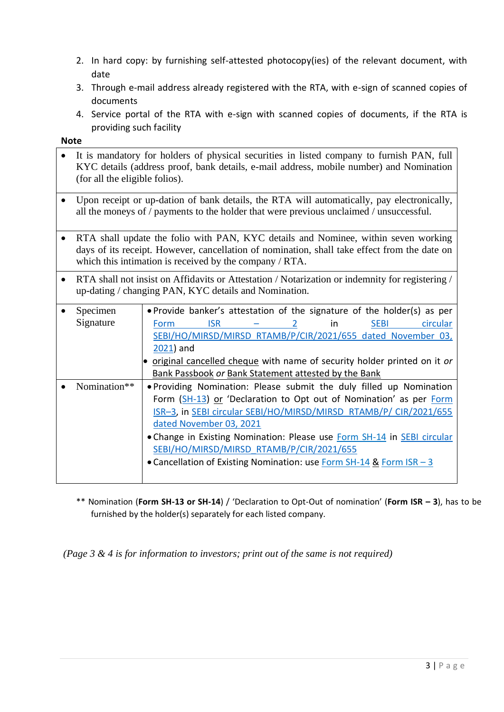- 2. In hard copy: by furnishing self-attested photocopy(ies) of the relevant document, with date
- 3. Through e-mail address already registered with the RTA, with e-sign of scanned copies of documents
- 4. Service portal of the RTA with e-sign with scanned copies of documents, if the RTA is providing such facility

**Note**

| It is mandatory for holders of physical securities in listed company to furnish PAN, full<br>KYC details (address proof, bank details, e-mail address, mobile number) and Nomination<br>(for all the eligible folios).                           |                                                                                                                                                                                                                                                                                                                                                                                                                                          |  |
|--------------------------------------------------------------------------------------------------------------------------------------------------------------------------------------------------------------------------------------------------|------------------------------------------------------------------------------------------------------------------------------------------------------------------------------------------------------------------------------------------------------------------------------------------------------------------------------------------------------------------------------------------------------------------------------------------|--|
| Upon receipt or up-dation of bank details, the RTA will automatically, pay electronically,<br>all the moneys of / payments to the holder that were previous unclaimed / unsuccessful.                                                            |                                                                                                                                                                                                                                                                                                                                                                                                                                          |  |
| RTA shall update the folio with PAN, KYC details and Nominee, within seven working<br>days of its receipt. However, cancellation of nomination, shall take effect from the date on<br>which this intimation is received by the company $/ RTA$ . |                                                                                                                                                                                                                                                                                                                                                                                                                                          |  |
| RTA shall not insist on Affidavits or Attestation / Notarization or indemnity for registering /<br>up-dating / changing PAN, KYC details and Nomination.                                                                                         |                                                                                                                                                                                                                                                                                                                                                                                                                                          |  |
| Specimen<br>Signature                                                                                                                                                                                                                            | . Provide banker's attestation of the signature of the holder(s) as per<br><b>ISR</b><br><b>SEBI</b><br>circular<br>Form<br>$\mathbf{2}$<br>in<br>the company of the company<br>SEBI/HO/MIRSD/MIRSD RTAMB/P/CIR/2021/655 dated November 03,<br>$2021$ ) and<br>original cancelled cheque with name of security holder printed on it or<br>Bank Passbook or Bank Statement attested by the Bank                                           |  |
| Nomination**                                                                                                                                                                                                                                     | . Providing Nomination: Please submit the duly filled up Nomination<br>Form (SH-13) or 'Declaration to Opt out of Nomination' as per Form<br>ISR-3, in SEBI circular SEBI/HO/MIRSD/MIRSD RTAMB/P/ CIR/2021/655<br>dated November 03, 2021<br>• Change in Existing Nomination: Please use Form SH-14 in SEBI circular<br>SEBI/HO/MIRSD/MIRSD RTAMB/P/CIR/2021/655<br>• Cancellation of Existing Nomination: use Form SH-14 & Form ISR - 3 |  |

\*\* Nomination (**Form SH-13 or SH-14**) / 'Declaration to Opt-Out of nomination' (**Form ISR – 3**), has to be furnished by the holder(s) separately for each listed company.

*(Page 3 & 4 is for information to investors; print out of the same is not required)*